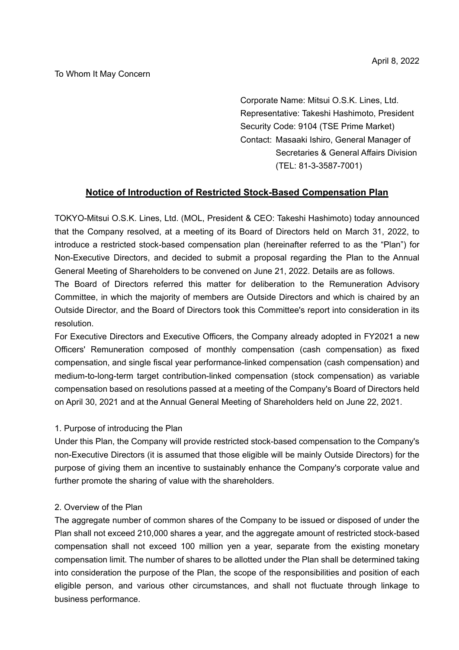#### To Whom It May Concern

Corporate Name: Mitsui O.S.K. Lines, Ltd. Representative: Takeshi Hashimoto, President Security Code: 9104 (TSE Prime Market) Contact: Masaaki Ishiro, General Manager of Secretaries & General Affairs Division (TEL: 81-3-3587-7001)

## **Notice of Introduction of Restricted Stock-Based Compensation Plan**

TOKYO-Mitsui O.S.K. Lines, Ltd. (MOL, President & CEO: Takeshi Hashimoto) today announced that the Company resolved, at a meeting of its Board of Directors held on March 31, 2022, to introduce a restricted stock-based compensation plan (hereinafter referred to as the "Plan") for Non-Executive Directors, and decided to submit a proposal regarding the Plan to the Annual General Meeting of Shareholders to be convened on June 21, 2022. Details are as follows.

The Board of Directors referred this matter for deliberation to the Remuneration Advisory Committee, in which the majority of members are Outside Directors and which is chaired by an Outside Director, and the Board of Directors took this Committee's report into consideration in its resolution.

For Executive Directors and Executive Officers, the Company already adopted in FY2021 a new Officers' Remuneration composed of monthly compensation (cash compensation) as fixed compensation, and single fiscal year performance-linked compensation (cash compensation) and medium-to-long-term target contribution-linked compensation (stock compensation) as variable compensation based on resolutions passed at a meeting of the Company's Board of Directors held on April 30, 2021 and at the Annual General Meeting of Shareholders held on June 22, 2021.

#### 1. Purpose of introducing the Plan

Under this Plan, the Company will provide restricted stock-based compensation to the Company's non-Executive Directors (it is assumed that those eligible will be mainly Outside Directors) for the purpose of giving them an incentive to sustainably enhance the Company's corporate value and further promote the sharing of value with the shareholders.

#### 2. Overview of the Plan

The aggregate number of common shares of the Company to be issued or disposed of under the Plan shall not exceed 210,000 shares a year, and the aggregate amount of restricted stock-based compensation shall not exceed 100 million yen a year, separate from the existing monetary compensation limit. The number of shares to be allotted under the Plan shall be determined taking into consideration the purpose of the Plan, the scope of the responsibilities and position of each eligible person, and various other circumstances, and shall not fluctuate through linkage to business performance.